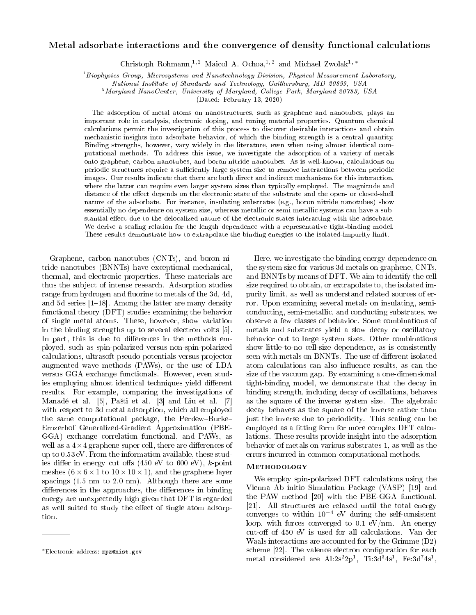## Metal adsorbate interactions and the convergence of density functional calculations

Christoph Rohmann,<sup>1, 2</sup> Maicol A. Ochoa,<sup>1, 2</sup> and Michael Zwolak<sup>1, \*</sup>

 ${}^{1}$ Biophysics Group, Microsystems and Nanotechnology Division, Physical Measurement Laboratory,

 $^{2}$ Maryland NanoCenter, University of Maryland, College Park, Maryland 20783, USA

(Dated: February 13, 2020)

The adsorption of metal atoms on nanostructures, such as graphene and nanotubes, plays an important role in catalysis, electronic doping, and tuning material properties. Quantum chemical calculations permit the investigation of this process to discover desirable interactions and obtain mechanistic insights into adsorbate behavior, of which the binding strength is a central quantity. Binding strengths, however, vary widely in the literature, even when using almost identical computational methods. To address this issue, we investigate the adsorption of a variety of metals onto graphene, carbon nanotubes, and boron nitride nanotubes. As is well-known, calculations on periodic structures require a sufficiently large system size to remove interactions between periodic images. Our results indicate that there are both direct and indirect mechanisms for this interaction, where the latter can require even larger system sizes than typically employed. The magnitude and distance of the effect depends on the electronic state of the substrate and the open- or closed-shell nature of the adsorbate. For instance, insulating substrates (e.g., boron nitride nanotubes) show essentially no dependence on system size, whereas metallic or semi-metallic systems can have a substantial effect due to the delocalized nature of the electronic states interacting with the adsorbate. We derive a scaling relation for the length dependence with a representative tight-binding model. These results demonstrate how to extrapolate the binding energies to the isolated-impurity limit.

Graphene, carbon nanotubes (CNTs), and boron nitride nanotubes (BNNTs) have exceptional mechanical, thermal, and electronic properties. These materials are thus the subject of intense research. Adsorption studies range from hydrogen and fluorine to metals of the 3d, 4d, and 5d series  $[1-18]$ . Among the latter are many density functional theory (DFT) studies examining the behavior of single metal atoms. These, however, show variation in the binding strengths up to several electron volts [5]. In part, this is due to differences in the methods employed, such as spin-polarized versus non-spin-polarized calculations, ultrasoft pseudo-potentials versus projector augmented wave methods (PAWs), or the use of LDA versus GGA exchange functionals. However, even studies employing almost identical techniques yield different results. For example, comparing the investigations of Manadé et al. [5], Pašti et al. [3] and Liu et al. [7] with respect to 3d metal adsorption, which all employed the same computational package, the Perdew-Burke-Ernzerhof Generalized-Gradient Approximation (PBE-GGA) exchange correlation functional, and PAWs, as well as a  $4 \times 4$  graphene super cell, there are differences of up to 0.53 eV. From the information available, these studies differ in energy cut offs  $(450 \text{ eV to } 600 \text{ eV})$ , k-point meshes  $(6 \times 6 \times 1$  to  $10 \times 10 \times 1)$ , and the graphene layer spacings (1.5 nm to 2.0 nm). Although there are some differences in the approaches, the differences in binding energy are unexpectedly high given that DFT is regarded as well suited to study the effect of single atom adsorption.

Here, we investigate the binding energy dependence on the system size for various 3d metals on graphene, CNTs, and BNNTs by means of DFT. We aim to identify the cell size required to obtain, or extrapolate to, the isolated impurity limit, as well as understand related sources of error. Upon examining several metals on insulating, semiconducting, semi-metallic, and conducting substrates, we observe a few classes of behavior. Some combinations of metals and substrates yield a slow decay or oscillatory behavior out to large system sizes. Other combinations show little-to-no cell-size dependence, as is consistently seen with metals on BNNTs. The use of different isolated atom calculations can also influence results, as can the size of the vacuum gap. By examining a one-dimensional tight-binding model, we demonstrate that the decay in binding strength, including decay of oscillations, behaves as the square of the inverse system size. The algebraic decay behaves as the square of the inverse rather than just the inverse due to periodicity. This scaling can be employed as a fitting form for more complex DFT calculations. These results provide insight into the adsorption behavior of metals on various substrates 1, as well as the errors incurred in common computational methods.

#### Methodology

We employ spin-polarized DFT calculations using the Vienna Ab initio Simulation Package (VASP) [19] and the PAW method [20] with the PBE-GGA functional. [21]. All structures are relaxed until the total energy converges to within 10<sup>−</sup><sup>4</sup> eV during the self-consistent loop, with forces converged to 0.1 eV/nm. An energy cut-off of 450 eV is used for all calculations. Van der Waals interactions are accounted for by the Grimme (D2) scheme [22]. The valence electron configuration for each  ${\rm metal\,\,\,\,considered\,\,\,are\,\,\,are\,\,\,Al:}\ 2{\rm s}^22{\rm p}^1,\,\,\, {\rm Ti:}\ 3{\rm d}^34{\rm s}^1,\,\,\, {\rm Fe:}\ 3{\rm d}^74{\rm s}^1,$ 

National Institute of Standards and Technology, Gaithersburg, MD 20899, USA

<sup>∗</sup>Electronic address: mpz@nist.gov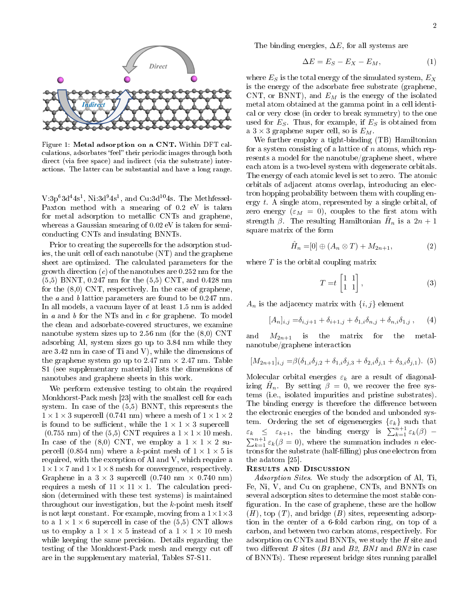

Figure 1: Metal adsorption on a CNT. Within DFT calculations, adsorbates "feel" their periodic images through both direct (via free space) and indirect (via the substrate) interactions. The latter can be substantial and have a long range.

 $V:3p^63d^44s^1$ , Ni: $3d^94s^1$ , and Cu: $3d^{10}4s$ . The Methfessel-Paxton method with a smearing of 0.2 eV is taken for metal adsorption to metallic CNTs and graphene, whereas a Gaussian smearing of 0.02 eV is taken for semiconducting CNTs and insulating BNNTs.

Prior to creating the supercells for the adsorption studies, the unit cell of each nanotube (NT) and the graphene sheet are optimized. The calculated parameters for the growth direction  $(c)$  of the nanotubes are 0.252 nm for the (5,5) BNNT, 0.247 nm for the (5,5) CNT, and 0.428 nm for the (8,0) CNT, respectively. In the case of graphene, the a and b lattice parameters are found to be 0.247 nm. In all models, a vacuum layer of at least 1.5 nm is added in  $a$  and  $b$  for the NTs and in  $c$  for graphene. To model the clean and adsorbate-covered structures, we examine nanotube system sizes up to 2.56 nm (for the (8,0) CNT adsorbing Al, system sizes go up to 3.84 nm while they are 3.42 nm in case of Ti and V), while the dimensions of the graphene system go up to 2.47 nm  $\times$  2.47 nm. Table S1 (see supplementary material) lists the dimensions of nanotubes and graphene sheets in this work.

We perform extensive testing to obtain the required Monkhorst-Pack mesh [23] with the smallest cell for each system. In case of the (5,5) BNNT, this represents the  $1 \times 1 \times 3$  supercell (0.741 nm) where a mesh of  $1 \times 1 \times 2$ is found to be sufficient, while the  $1 \times 1 \times 3$  supercell  $(0.755 \text{ nm})$  of the  $(5,5)$  CNT requires a  $1 \times 1 \times 10$  mesh. In case of the (8,0) CNT, we employ a  $1 \times 1 \times 2$  supercell (0.854 nm) where a k-point mesh of  $1 \times 1 \times 5$  is required, with the exception of Al and V, which require a  $1 \times 1 \times 7$  and  $1 \times 1 \times 8$  mesh for convergence, respectively. Graphene in a  $3 \times 3$  supercell (0.740 nm  $\times$  0.740 nm) requires a mesh of  $11 \times 11 \times 1$ . The calculation precision (determined with these test systems) is maintained throughout our investigation, but the  $k$ -point mesh itself is not kept constant. For example, moving from a  $1 \times 1 \times 3$ to a  $1 \times 1 \times 6$  supercell in case of the (5,5) CNT allows us to employ a  $1 \times 1 \times 5$  instead of a  $1 \times 1 \times 10$  mesh while keeping the same precision. Details regarding the testing of the Monkhorst-Pack mesh and energy cut o are in the supplementary material, Tables S7-S11.

The binding energies,  $\Delta E$ , for all systems are

$$
\Delta E = E_S - E_X - E_M,\tag{1}
$$

where  $E_S$  is the total energy of the simulated system,  $E_X$ is the energy of the adsorbate free substrate (graphene, CNT, or BNNT), and  $E_M$  is the energy of the isolated metal atom obtained at the gamma point in a cell identical or very close (in order to break symmetry) to the one used for  $E_S$ . Thus, for example, if  $E_S$  is obtained from a  $3 \times 3$  graphene super cell, so is  $E_M$ .

We further employ a tight-binding (TB) Hamiltonian for a system consisting of a lattice of  $n$  atoms, which represents a model for the nanotube/graphene sheet, where each atom is a two-level system with degenerate orbitals. The energy of each atomic level is set to zero. The atomic orbitals of adjacent atoms overlap, introducing an electron hopping probability between them with coupling energy t. A single atom, represented by a single orbital, of zero energy  $(\varepsilon_M = 0)$ , couples to the first atom with strength  $\beta$ . The resulting Hamiltonian  $\hat{H}_n$  is a  $2n+1$ square matrix of the form

$$
\hat{H}_n = [0] \oplus (A_n \otimes T) + M_{2n+1}, \tag{2}
$$

where  $T$  is the orbital coupling matrix

$$
T = t \begin{bmatrix} 1 & 1 \\ 1 & 1 \end{bmatrix}, \tag{3}
$$

 $A_n$  is the adjacency matrix with  $\{i, j\}$  element

$$
[A_n]_{i,j} = \delta_{i,j+1} + \delta_{i+1,j} + \delta_{1,i}\delta_{n,j} + \delta_{n,i}\delta_{1,j}, \qquad (4)
$$

and  $M_{2n+1}$  is the matrix for the metalnanotube/graphene interaction

$$
[M_{2n+1}]_{i,j} = \beta(\delta_{1,i}\delta_{j,2} + \delta_{1,i}\delta_{j,3} + \delta_{2,i}\delta_{j,1} + \delta_{3,i}\delta_{j,1}).
$$
 (5)

Molecular orbital energies  $\varepsilon_k$  are a result of diagonalizing  $\hat{H}_n$ . By setting  $\beta = 0$ , we recover the free systems (i.e., isolated impurities and pristine substrates). The binding energy is therefore the difference between the electronic energies of the bonded and unbonded system. Ordering the set of eigenenergies  $\{ \varepsilon_k \}$  such that  $\varepsilon_k \leq \varepsilon_{k+1}$ , the binding energy is  $\sum_{k=1}^{n+1} \varepsilon_k(\beta)$  –  $\sum_{k=1}^{n+1} \varepsilon_k(\beta = 0)$ , where the summation includes n electrons for the substrate (half-filling) plus one electron from the adatom [25].

## Results and Discussion

Adsorption Sites. We study the adsorption of Al, Ti, Fe, Ni, V, and Cu on graphene, CNTs, and BNNTs on several adsorption sites to determine the most stable con figuration. In the case of graphene, these are the hollow  $(H)$ , top  $(T)$ , and bridge  $(B)$  sites, representing adsorption in the center of a 6-fold carbon ring, on top of a carbon, and between two carbon atoms, respectively. For adsorption on CNTs and BNNTs, we study the H site and two different B sites  $(B1 \text{ and } B2, BNI \text{ and } BNS \text{ in case})$ of BNNTs). These represent bridge sites running parallel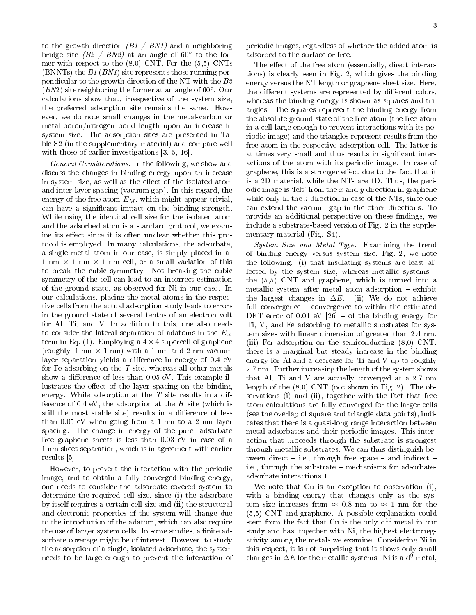to the growth direction  $(B1 \, / \, BM1)$  and a neighboring bridge site  $(B2 \mid BN2)$  at an angle of 60 $\degree$  to the former with respect to the (8,0) CNT. For the (5,5) CNTs (BNNTs) the B1 (BN1) site represents those running perpendicular to the growth direction of the NT with the B2 (BN2) site neighboring the former at an angle of 60◦ . Our calculations show that, irrespective of the system size, the preferred adsorption site remains the same. However, we do note small changes in the metal-carbon or metal-boron/nitrogen bond length upon an increase in system size. The adsorption sites are presented in Table S2 (in the supplementary material) and compare well with those of earlier investigations [3, 5, 16].

General Considerations. In the following, we show and discuss the changes in binding energy upon an increase in system size, as well as the effect of the isolated atom and inter-layer spacing (vacuum gap). In this regard, the energy of the free atom  $E_M$ , which might appear trivial, can have a signicant impact on the binding strength. While using the identical cell size for the isolated atom and the adsorbed atom is a standard protocol, we examine its effect since it is often unclear whether this protocol is employed. In many calculations, the adsorbate, a single metal atom in our case, is simply placed in a 1 nm  $\times$  1 nm  $\times$  1 nm cell, or a small variation of this to break the cubic symmetry. Not breaking the cubic symmetry of the cell can lead to an incorrect estimation of the ground state, as observed for Ni in our case. In our calculations, placing the metal atoms in the respective cells from the actual adsorption study leads to errors in the ground state of several tenths of an electron volt for Al, Ti, and V. In addition to this, one also needs to consider the lateral separation of adatoms in the  $E_X$ term in Eq. (1). Employing a  $4 \times 4$  supercell of graphene (roughly, 1 nm  $\times$  1 nm) with a 1 nm and 2 nm vacuum layer separation yields a difference in energy of  $0.4 \text{ eV}$ for Fe adsorbing on the  $T$  site, whereas all other metals show a difference of less than  $0.05$  eV. This example illustrates the effect of the layer spacing on the binding energy. While adsorption at the  $T$  site results in a difference of 0.4 eV, the adsorption at the  $H$  site (which is still the most stable site) results in a difference of less than 0.05 eV when going from a 1 nm to a 2 nm layer spacing. The change in energy of the pure, adsorbate free graphene sheets is less than 0.03 eV in case of a 1 nm sheet separation, which is in agreement with earlier results [5].

However, to prevent the interaction with the periodic image, and to obtain a fully converged binding energy, one needs to consider the adsorbate covered system to determine the required cell size, since (i) the adsorbate by itself requires a certain cell size and (ii) the structural and electronic properties of the system will change due to the introduction of the adatom, which can also require the use of larger system cells. In some studies, a finite adsorbate coverage might be of interest. However, to study the adsorption of a single, isolated adsorbate, the system needs to be large enough to prevent the interaction of periodic images, regardless of whether the added atom is adsorbed to the surface or free.

The effect of the free atom (essentially, direct interactions) is clearly seen in Fig. 2, which gives the binding energy versus the NT length or graphene sheet size. Here, the different systems are represented by different colors, whereas the binding energy is shown as squares and triangles. The squares represent the binding energy from the absolute ground state of the free atom (the free atom in a cell large enough to prevent interactions with its periodic image) and the triangles represent results from the free atom in the respective adsorption cell. The latter is at times very small and thus results in signicant interactions of the atom with its periodic image. In case of graphene, this is a stronger effect due to the fact that it is a 2D material, while the NTs are 1D. Thus, the periodic image is 'felt' from the x and y direction in graphene while only in the  $z$  direction in case of the NTs, since one can extend the vacuum gap in the other directions. To provide an additional perspective on these findings, we include a substrate-based version of Fig. 2 in the supplementary material (Fig. S4).

System Size and Metal Type. Examining the trend of binding energy versus system size, Fig. 2, we note the following: (i) that insulating systems are least affected by the system size, whereas metallic systems the (5,5) CNT and graphene, which is turned into a metallic system after metal atom adsorption  $-$  exhibit the largest changes in  $\Delta E$ . (ii) We do not achieve full convergence  $\sim$  convergence to within the estimated DFT error of  $0.01$  eV  $[26]$  – of the binding energy for Ti, V, and Fe adsorbing to metallic substrates for system sizes with linear dimension of greater than 2.4 nm. (iii) For adsorption on the semiconducting (8,0) CNT, there is a marginal but steady increase in the binding energy for Al and a decrease for Ti and V up to roughly 2.7 nm. Further increasing the length of the system shows that Al, Ti and V are actually converged at a 2.7 nm length of the (8,0) CNT (not shown in Fig. 2). The observations (i) and (ii), together with the fact that free atom calculations are fully converged for the larger cells (see the overlap of square and triangle data points), indicates that there is a quasi-long range interaction between metal adsorbates and their periodic images. This interaction that proceeds through the substrate is strongest through metallic substrates. We can thus distinguish between direct  $-$  i.e., through free space  $-$  and indirect  $$ i.e., through the substrate  $-$  mechanisms for adsorbateadsorbate interactions 1.

We note that Cu is an exception to observation (i), with a binding energy that changes only as the system size increases from  $\approx 0.8$  nm to  $\approx 1$  nm for the (5,5) CNT and graphene. A possible explanation could stem from the fact that Cu is the only  $d^{10}$  metal in our study and has, together with Ni, the highest electronegativity among the metals we examine. Considering Ni in this respect, it is not surprising that it shows only small changes in  $\Delta E$  for the metallic systems. Ni is a d<sup>9</sup> metal,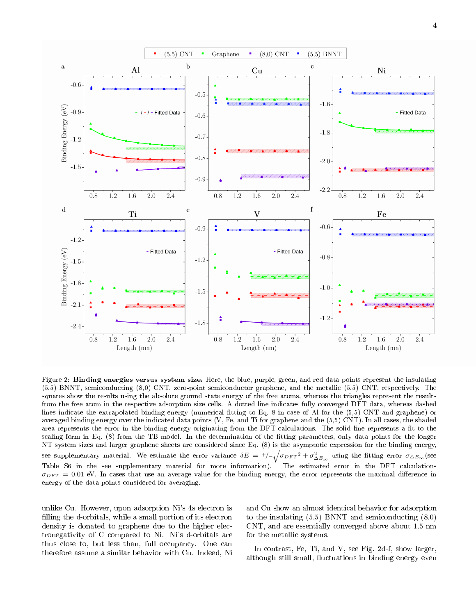

Figure 2: Binding energies versus system size. Here, the blue, purple, green, and red data points represent the insulating (5,5) BNNT, semiconducting (8,0) CNT, zero-point semiconductor graphene, and the metallic (5,5) CNT, respectively. The squares show the results using the absolute ground state energy of the free atoms, whereas the triangles represent the results from the free atom in the respective adsorption size cells. A dotted line indicates fully converged DFT data, whereas dashed lines indicate the extrapolated binding energy (numerical tting to Eq. 8 in case of Al for the (5,5) CNT and graphene) or averaged binding energy over the indicated data points (V, Fe, and Ti for graphene and the (5,5) CNT). In all cases, the shaded area represents the error in the binding energy originating from the DFT calculations. The solid line represents a fit to the scaling form in Eq. (8) from the TB model. In the determination of the fitting parameters, only data points for the longer NT system sizes and larger graphene sheets are considered since Eq. (8) is the asymptotic expression for the binding energy, see supplementary material. We estimate the error variance  $\delta E = +/-\sqrt{{\sigma_{DFT}}^2 + {\sigma^2_{\Delta E_{\infty}}}}$  using the fitting error  $\sigma_{\Delta E_{\infty}}$  (see Table S6 in the see supplementary material for more information). The estimated error in the DFT calculations  $\sigma_{DFT} = 0.01$  eV. In cases that use an average value for the binding energy, the error represents the maximal difference in energy of the data points considered for averaging.

unlike Cu. However, upon adsorption Ni's 4s electron is filling the d-orbitals, while a small portion of its electron density is donated to graphene due to the higher electronegativity of C compared to Ni. Ni's d-orbitals are thus close to, but less than, full occupancy. One can therefore assume a similar behavior with Cu. Indeed, Ni

and Cu show an almost identical behavior for adsorption to the insulating  $(5,5)$  BNNT and semiconducting  $(8,0)$ CNT, and are essentially converged above about 1.5 nm for the metallic systems.

In contrast, Fe, Ti, and V, see Fig. 2d-f, show larger, although still small, fluctuations in binding energy even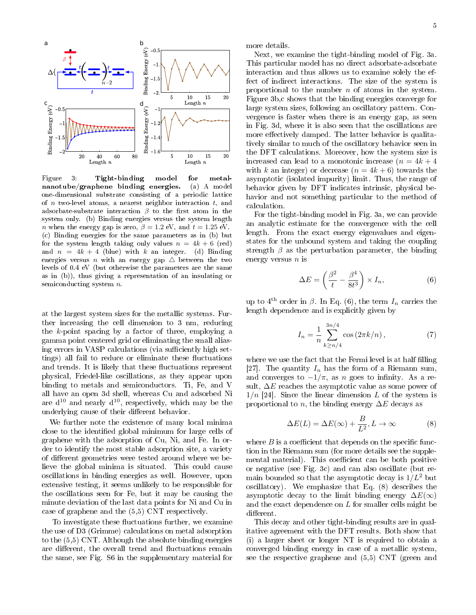

Figure 3: Tight-binding model for metalnanotube/graphene binding energies. (a) A model one-dimensional substrate consisting of a periodic lattice of  $n$  two-level atoms, a nearest neighbor interaction  $t$ , and adsorbate-substrate interaction  $\beta$  to the first atom in the system only. (b) Binding energies versus the system length *n* when the energy gap is zero,  $\beta = 1.2$  eV, and  $t = 1.25$  eV. (c) Binding energies for the same parameters as in (b) but for the system length taking only values  $n = 4k + 6$  (red) and  $n = 4k + 4$  (blue) with k an integer. (d) Binding energies versus *n* with an energy gap  $\triangle$  between the two levels of 0.4 eV (but otherwise the parameters are the same as in (b)), thus giving a representation of an insulating or semiconducting system  $n$ .

at the largest system sizes for the metallic systems. Further increasing the cell dimension to 3 nm, reducing the k-point spacing by a factor of three, employing a gamma point centered grid or eliminating the small aliasing errors in VASP calculations (via sufficiently high settings) all fail to reduce or eliminate these fluctuations and trends. It is likely that these fluctuations represent physical, Friedel-like oscillations, as they appear upon binding to metals and semiconductors. Ti, Fe, and V all have an open 3d shell, whereas Cu and adsorbed Ni are  $d^{10}$  and nearly  $d^{10}$ , respectively, which may be the underlying cause of their different behavior.

We further note the existence of many local minima close to the identified global minimum for large cells of graphene with the adsorption of Cu, Ni, and Fe. In order to identify the most stable adsorption site, a variety of different geometries were tested around where we believe the global minima is situated. This could cause oscillations in binding energies as well. However, upon extensive testing, it seems unlikely to be responsible for the oscillations seen for Fe, but it may be causing the minute deviation of the last data points for Ni and Cu in case of graphene and the (5,5) CNT respectively.

To investigate these fluctuations further, we examine the use of D3 (Grimme) calculations on metal adsorption to the (5,5) CNT. Although the absolute binding energies are different, the overall trend and fluctuations remain the same, see Fig. S6 in the supplementary material for more details.

Next, we examine the tight-binding model of Fig. 3a. This particular model has no direct adsorbate-adsorbate interaction and thus allows us to examine solely the effect of indirect interactions. The size of the system is proportional to the number  $n$  of atoms in the system. Figure 3b,c shows that the binding energies converge for large system sizes, following an oscillatory pattern. Convergence is faster when there is an energy gap, as seen in Fig. 3d, where it is also seen that the oscillations are more effectively damped. The latter behavior is qualitatively similar to much of the oscillatory behavior seen in the DFT calculations. Moreover, how the system size is increased can lead to a monotonic increase  $(n = 4k + 4)$ with k an integer) or decrease  $(n = 4k + 6)$  towards the asymptotic (isolated impurity) limit. Thus, the range of behavior given by DFT indicates intrinsic, physical behavior and not something particular to the method of calculation.

For the tight-binding model in Fig. 3a, we can provide an analytic estimate for the convergence with the cell length. From the exact energy eigenvalues and eigenstates for the unbound system and taking the coupling strength  $\beta$  as the perturbation parameter, the binding energy versus  $n$  is

$$
\Delta E = \left(\frac{\beta^2}{t} - \frac{\beta^4}{8t^3}\right) \times I_n,\tag{6}
$$

up to 4<sup>th</sup> order in  $\beta$ . In Eq. (6), the term  $I_n$  carries the length dependence and is explicitly given by

$$
I_n = \frac{1}{n} \sum_{k \ge n/4}^{3n/4} \cos(2\pi k/n), \qquad (7)
$$

where we use the fact that the Fermi level is at half filling [27]. The quantity  $I_n$  has the form of a Riemann sum, and converges to  $-1/\pi$ , as n goes to infinity. As a result,  $\Delta E$  reaches the asymptotic value as some power of  $1/n$  [24]. Since the linear dimension L of the system is proportional to n, the binding energy  $\Delta E$  decays as

$$
\Delta E(L) = \Delta E(\infty) + \frac{B}{L^2}, L \to \infty \tag{8}
$$

where  $B$  is a coefficient that depends on the specific function in the Riemann sum (for more details see the supplemental material). This coefficient can be both positive or negative (see Fig. 3c) and can also oscillate (but remain bounded so that the asymptotic decay is  $1/L^2$  but oscillatory). We emphasize that Eq. (8) describes the asymptotic decay to the limit binding energy  $\Delta E(\infty)$ and the exact dependence on  $L$  for smaller cells might be different.

This decay and other tight-binding results are in qualitative agreement with the DFT results. Both show that (i) a larger sheet or longer NT is required to obtain a converged binding energy in case of a metallic system, see the respective graphene and (5,5) CNT (green and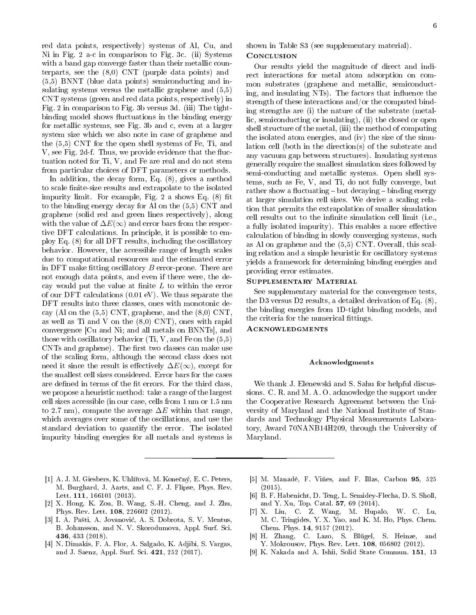red data points, respectively) systems of Al, Cu, and Ni in Fig. 2 a-c in comparison to Fig. 3c. (ii) Systems with a band gap converge faster than their metallic counterparts, see the (8,0) CNT (purple data points) and (5,5) BNNT (blue data points) semiconducting and insulating systems versus the metallic graphene and (5,5) CNT systems (green and red data points, respectively) in Fig. 2 in comparison to Fig. 3b versus 3d. (iii) The tightbinding model shows fluctuations in the binding energy for metallic systems, see Fig. 3b and c, even at a larger system size which we also note in case of graphene and the (5,5) CNT for the open shell systems of Fe, Ti, and V, see Fig. 2d-f. Thus, we provide evidence that the fluctuation noted for Ti, V, and Fe are real and do not stem from particular choices of DFT parameters or methods.

In addition, the decay form, Eq. (8), gives a method to scale finite-size results and extrapolate to the isolated impurity limit. For example, Fig.  $2a$  shows Eq.  $(8)$  fit to the binding energy decay for Al on the (5,5) CNT and graphene (solid red and green lines respectively), along with the value of  $\Delta E(\infty)$  and error bars from the respective DFT calculations. In principle, it is possible to employ Eq. (8) for all DFT results, including the oscillatory behavior. However, the accessible range of length scales due to computational resources and the estimated error in DFT make fitting oscillatory  $B$  error-prone. There are not enough data points, and even if there were, the decay would put the value at finite  $L$  to within the error of our DFT calculations (0.01 eV). We thus separate the DFT results into three classes, ones with monotonic decay (Al on the  $(5,5)$  CNT, graphene, and the  $(8,0)$  CNT. as well as Ti and V on the (8,0) CNT), ones with rapid convergence [Cu and Ni; and all metals on BNNTs], and those with oscillatory behavior (Ti, V, and Fe on the (5,5) CNTs and graphene). The first two classes can make use of the scaling form, although the second class does not need it since the result is effectively  $\Delta E(\infty)$ , except for the smallest cell sizes considered. Error bars for the cases are defined in terms of the fit errors. For the third class, we propose a heuristic method: take a range of the largest cell sizes accessible (in our case, cells from 1 nm or 1.5 nm to 2.7 nm), compute the average  $\Delta E$  within that range, which averages over some of the oscillations, and use the standard deviation to quantify the error. The isolated impurity binding energies for all metals and systems is

- [1] A. J. M. Giesbers, K. Uhlí°ová, M. Kone£ný, E. C. Peters, M. Burghard, J. Aarts, and C. F. J. Flipse, Phys. Rev. Lett. **111**, 166101 (2013).
- [2] X. Hong, K. Zou, B. Wang, S.-H. Cheng, and J. Zhu, Phys. Rev. Lett. 108, 226602 (2012).
- [3] I. A. Pa²ti, A. Jovanovi¢, A. S. Dobrota, S. V. Mentus, B. Johansson, and N. V. Skorodumova, Appl. Surf. Sci. 436, 433 (2018).
- [4] N. Dimakis, F. A. Flor, A. Salgado, K. Adjibi, S. Vargas, and J. Saenz, Appl. Surf. Sci. 421, 252 (2017).

shown in Table S3 (see supplementary material).

## **CONCLUSION**

Our results yield the magnitude of direct and indirect interactions for metal atom adsorption on common substrates (graphene and metallic, semiconducting, and insulating NTs). The factors that influence the strength of these interactions and/or the computed binding strengths are (i) the nature of the substrate (metallic, semiconducting or insulating), (ii) the closed or open shell structure of the metal, (iii) the method of computing the isolated atom energies, and (iv) the size of the simulation cell (both in the direction(s) of the substrate and any vacuum gap between structures). Insulating systems generally require the smallest simulation sizes followed by semi-conducting and metallic systems. Open shell systems, such as Fe, V, and Ti, do not fully converge, but rather show a fluctuating  $-$  but decaying  $-$  binding energy at larger simulation cell sizes. We derive a scaling relation that permits the extrapolation of smaller simulation cell results out to the infinite simulation cell limit (i.e., a fully isolated impurity). This enables a more effective calculation of binding in slowly converging systems, such as Al on graphene and the (5,5) CNT. Overall, this scaling relation and a simple heuristic for oscillatory systems yields a framework for determining binding energies and providing error estimates.

## Supplementary Material

See supplementary material for the convergence tests, the D3 versus D2 results, a detailed derivation of Eq. (8), the binding energies from 1D-tight binding models, and the criteria for the numerical fittings.

# Acknowledgments

#### Acknowledgments

We thank J. Elenewski and S. Sahu for helpful discussions. C. R. and M. A. O. acknowledge the support under the Cooperative Research Agreement between the University of Maryland and the National Institute of Standards and Technology Physical Measurements Laboratory, Award 70NANB14H209, through the University of Maryland.

- [5] M. Manadé, F. Viñes, and F. Illas, Carbon 95, 525 (2015).
- [6] B. F. Habenicht, D. Teng, L. Semidey-Flecha, D. S. Sholl, and Y. Xu, Top. Catal. 57, 69 (2014).
- [7] X. Liu, C. Z. Wang, M. Hupalo, W. C. Lu, M. C. Tringides, Y. X. Yao, and K. M. Ho, Phys. Chem. Chem. Phys. 14, 9157 (2012).
- [8] H. Zhang, C. Lazo, S. Blügel, S. Heinze, and Y. Mokrousov, Phys. Rev. Lett. 108, 056802 (2012).
- [9] K. Nakada and A. Ishii, Solid State Commun. 151, 13